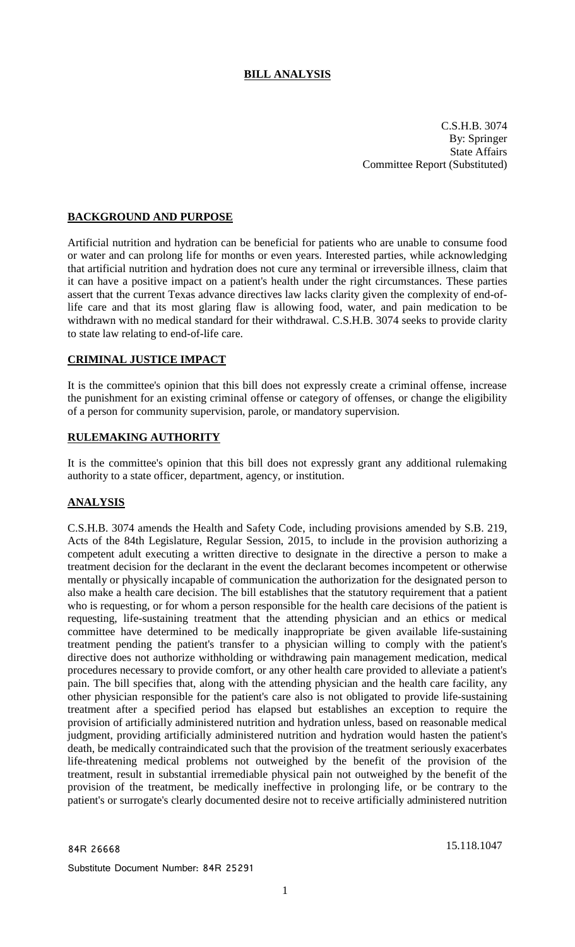# **BILL ANALYSIS**

C.S.H.B. 3074 By: Springer State Affairs Committee Report (Substituted)

## **BACKGROUND AND PURPOSE**

Artificial nutrition and hydration can be beneficial for patients who are unable to consume food or water and can prolong life for months or even years. Interested parties, while acknowledging that artificial nutrition and hydration does not cure any terminal or irreversible illness, claim that it can have a positive impact on a patient's health under the right circumstances. These parties assert that the current Texas advance directives law lacks clarity given the complexity of end-oflife care and that its most glaring flaw is allowing food, water, and pain medication to be withdrawn with no medical standard for their withdrawal. C.S.H.B. 3074 seeks to provide clarity to state law relating to end-of-life care.

### **CRIMINAL JUSTICE IMPACT**

It is the committee's opinion that this bill does not expressly create a criminal offense, increase the punishment for an existing criminal offense or category of offenses, or change the eligibility of a person for community supervision, parole, or mandatory supervision.

### **RULEMAKING AUTHORITY**

It is the committee's opinion that this bill does not expressly grant any additional rulemaking authority to a state officer, department, agency, or institution.

# **ANALYSIS**

C.S.H.B. 3074 amends the Health and Safety Code, including provisions amended by S.B. 219, Acts of the 84th Legislature, Regular Session, 2015, to include in the provision authorizing a competent adult executing a written directive to designate in the directive a person to make a treatment decision for the declarant in the event the declarant becomes incompetent or otherwise mentally or physically incapable of communication the authorization for the designated person to also make a health care decision. The bill establishes that the statutory requirement that a patient who is requesting, or for whom a person responsible for the health care decisions of the patient is requesting, life-sustaining treatment that the attending physician and an ethics or medical committee have determined to be medically inappropriate be given available life-sustaining treatment pending the patient's transfer to a physician willing to comply with the patient's directive does not authorize withholding or withdrawing pain management medication, medical procedures necessary to provide comfort, or any other health care provided to alleviate a patient's pain. The bill specifies that, along with the attending physician and the health care facility, any other physician responsible for the patient's care also is not obligated to provide life-sustaining treatment after a specified period has elapsed but establishes an exception to require the provision of artificially administered nutrition and hydration unless, based on reasonable medical judgment, providing artificially administered nutrition and hydration would hasten the patient's death, be medically contraindicated such that the provision of the treatment seriously exacerbates life-threatening medical problems not outweighed by the benefit of the provision of the treatment, result in substantial irremediable physical pain not outweighed by the benefit of the provision of the treatment, be medically ineffective in prolonging life, or be contrary to the patient's or surrogate's clearly documented desire not to receive artificially administered nutrition

84R 26668 15.118.1047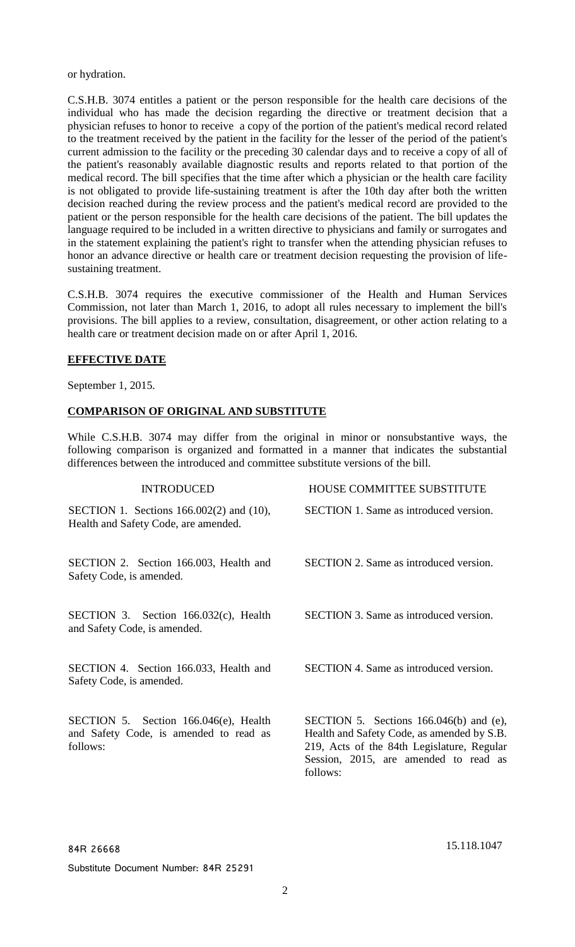or hydration.

C.S.H.B. 3074 entitles a patient or the person responsible for the health care decisions of the individual who has made the decision regarding the directive or treatment decision that a physician refuses to honor to receive a copy of the portion of the patient's medical record related to the treatment received by the patient in the facility for the lesser of the period of the patient's current admission to the facility or the preceding 30 calendar days and to receive a copy of all of the patient's reasonably available diagnostic results and reports related to that portion of the medical record. The bill specifies that the time after which a physician or the health care facility is not obligated to provide life-sustaining treatment is after the 10th day after both the written decision reached during the review process and the patient's medical record are provided to the patient or the person responsible for the health care decisions of the patient. The bill updates the language required to be included in a written directive to physicians and family or surrogates and in the statement explaining the patient's right to transfer when the attending physician refuses to honor an advance directive or health care or treatment decision requesting the provision of lifesustaining treatment.

C.S.H.B. 3074 requires the executive commissioner of the Health and Human Services Commission, not later than March 1, 2016, to adopt all rules necessary to implement the bill's provisions. The bill applies to a review, consultation, disagreement, or other action relating to a health care or treatment decision made on or after April 1, 2016.

### **EFFECTIVE DATE**

September 1, 2015.

## **COMPARISON OF ORIGINAL AND SUBSTITUTE**

While C.S.H.B. 3074 may differ from the original in minor or nonsubstantive ways, the following comparison is organized and formatted in a manner that indicates the substantial differences between the introduced and committee substitute versions of the bill.

| <b>INTRODUCED</b>                                                                           | HOUSE COMMITTEE SUBSTITUTE                                                                                                                                                               |
|---------------------------------------------------------------------------------------------|------------------------------------------------------------------------------------------------------------------------------------------------------------------------------------------|
| SECTION 1. Sections $166.002(2)$ and $(10)$ ,<br>Health and Safety Code, are amended.       | <b>SECTION 1. Same as introduced version.</b>                                                                                                                                            |
| SECTION 2. Section 166.003, Health and<br>Safety Code, is amended.                          | <b>SECTION 2. Same as introduced version.</b>                                                                                                                                            |
| SECTION 3. Section 166.032(c), Health<br>and Safety Code, is amended.                       | <b>SECTION 3. Same as introduced version.</b>                                                                                                                                            |
| SECTION 4. Section 166.033, Health and<br>Safety Code, is amended.                          | <b>SECTION 4. Same as introduced version.</b>                                                                                                                                            |
| SECTION 5. Section 166.046(e), Health<br>and Safety Code, is amended to read as<br>follows: | SECTION 5. Sections 166.046(b) and (e),<br>Health and Safety Code, as amended by S.B.<br>219, Acts of the 84th Legislature, Regular<br>Session, 2015, are amended to read as<br>follows: |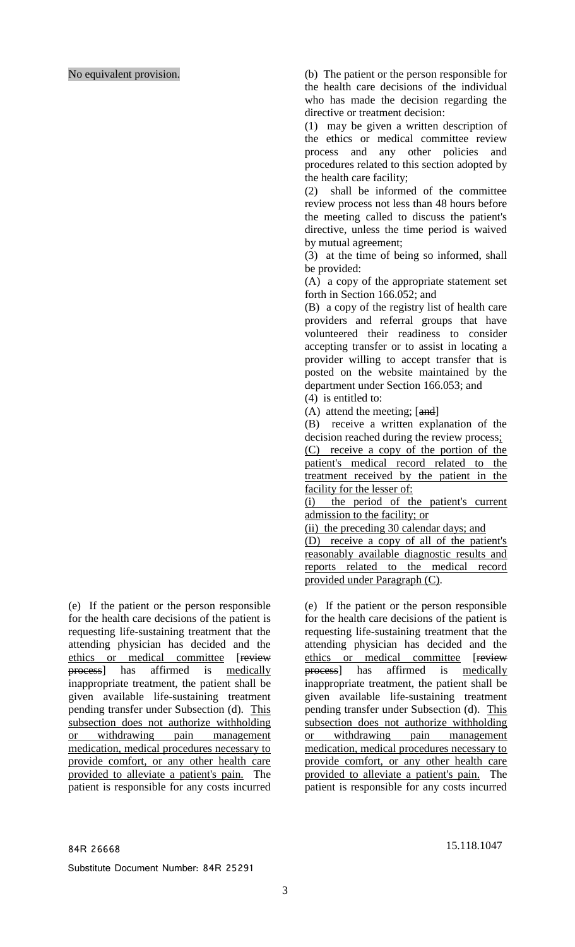(e) If the patient or the person responsible for the health care decisions of the patient is requesting life-sustaining treatment that the attending physician has decided and the ethics or medical committee [review process] has affirmed is medically inappropriate treatment, the patient shall be given available life-sustaining treatment pending transfer under Subsection (d). This subsection does not authorize withholding or withdrawing pain management medication, medical procedures necessary to provide comfort, or any other health care provided to alleviate a patient's pain. The patient is responsible for any costs incurred (b) The patient or the person responsible for the health care decisions of the individual who has made the decision regarding the directive or treatment decision:

(1) may be given a written description of the ethics or medical committee review process and any other policies and procedures related to this section adopted by the health care facility;

(2) shall be informed of the committee review process not less than 48 hours before the meeting called to discuss the patient's directive, unless the time period is waived by mutual agreement;

(3) at the time of being so informed, shall be provided:

(A) a copy of the appropriate statement set forth in Section 166.052; and

(B) a copy of the registry list of health care providers and referral groups that have volunteered their readiness to consider accepting transfer or to assist in locating a provider willing to accept transfer that is posted on the website maintained by the department under Section 166.053; and

(4) is entitled to:

(A) attend the meeting;  $[and]$ 

(B) receive a written explanation of the decision reached during the review process;

(C) receive a copy of the portion of the patient's medical record related to the treatment received by the patient in the facility for the lesser of:

(i) the period of the patient's current admission to the facility; or

(ii) the preceding 30 calendar days; and

(D) receive a copy of all of the patient's reasonably available diagnostic results and reports related to the medical record provided under Paragraph (C).

(e) If the patient or the person responsible for the health care decisions of the patient is requesting life-sustaining treatment that the attending physician has decided and the ethics or medical committee [review]<br>process] has affirmed is medically process) has affirmed is medically inappropriate treatment, the patient shall be given available life-sustaining treatment pending transfer under Subsection (d). This subsection does not authorize withholding or withdrawing pain management medication, medical procedures necessary to provide comfort, or any other health care provided to alleviate a patient's pain. The patient is responsible for any costs incurred

84R 26668 15.118.1047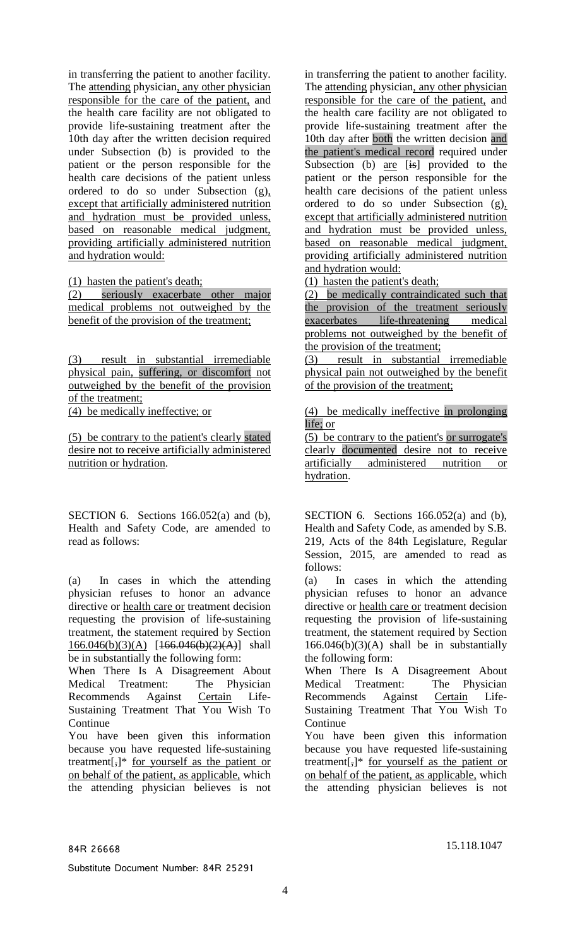in transferring the patient to another facility. The attending physician, any other physician responsible for the care of the patient, and the health care facility are not obligated to provide life-sustaining treatment after the 10th day after the written decision required under Subsection (b) is provided to the patient or the person responsible for the health care decisions of the patient unless ordered to do so under Subsection (g), except that artificially administered nutrition and hydration must be provided unless, based on reasonable medical judgment, providing artificially administered nutrition and hydration would:

(1) hasten the patient's death;

(2) seriously exacerbate other major medical problems not outweighed by the benefit of the provision of the treatment;

(3) result in substantial irremediable physical pain, suffering, or discomfort not outweighed by the benefit of the provision of the treatment;

(4) be medically ineffective; or

(5) be contrary to the patient's clearly stated desire not to receive artificially administered nutrition or hydration.

SECTION 6. Sections  $166.052(a)$  and (b), Health and Safety Code, are amended to read as follows:

(a) In cases in which the attending physician refuses to honor an advance directive or health care or treatment decision requesting the provision of life-sustaining treatment, the statement required by Section  $166.046(b)(3)(A)$  [166.046(b)(2)(A)] shall be in substantially the following form:

When There Is A Disagreement About Medical Treatment: The Physician Recommends Against Certain Life-Sustaining Treatment That You Wish To **Continue** 

You have been given this information because you have requested life-sustaining treatment[ $,$ ]\* for yourself as the patient or on behalf of the patient, as applicable, which the attending physician believes is not in transferring the patient to another facility. The attending physician, any other physician responsible for the care of the patient, and the health care facility are not obligated to provide life-sustaining treatment after the 10th day after both the written decision and the patient's medical record required under Subsection (b) are [is] provided to the patient or the person responsible for the health care decisions of the patient unless ordered to do so under Subsection (g), except that artificially administered nutrition and hydration must be provided unless, based on reasonable medical judgment, providing artificially administered nutrition and hydration would:

(1) hasten the patient's death;

(2) be medically contraindicated such that the provision of the treatment seriously exacerbates life-threatening medical problems not outweighed by the benefit of the provision of the treatment;

(3) result in substantial irremediable physical pain not outweighed by the benefit of the provision of the treatment;

(4) be medically ineffective in prolonging life; or

(5) be contrary to the patient's or surrogate's clearly documented desire not to receive artificially administered nutrition or hydration.

SECTION 6. Sections  $166.052(a)$  and (b), Health and Safety Code, as amended by S.B. 219, Acts of the 84th Legislature, Regular Session, 2015, are amended to read as follows:

(a) In cases in which the attending physician refuses to honor an advance directive or **health** care or treatment decision requesting the provision of life-sustaining treatment, the statement required by Section  $166.046(b)(3)(A)$  shall be in substantially the following form:

When There Is A Disagreement About Medical Treatment: The Physician Recommends Against Certain Life-Sustaining Treatment That You Wish To Continue

You have been given this information because you have requested life-sustaining treatment[ $,$ ]\* for yourself as the patient or on behalf of the patient, as applicable, which the attending physician believes is not

Substitute Document Number: 84R 25291

84R 26668 15.118.1047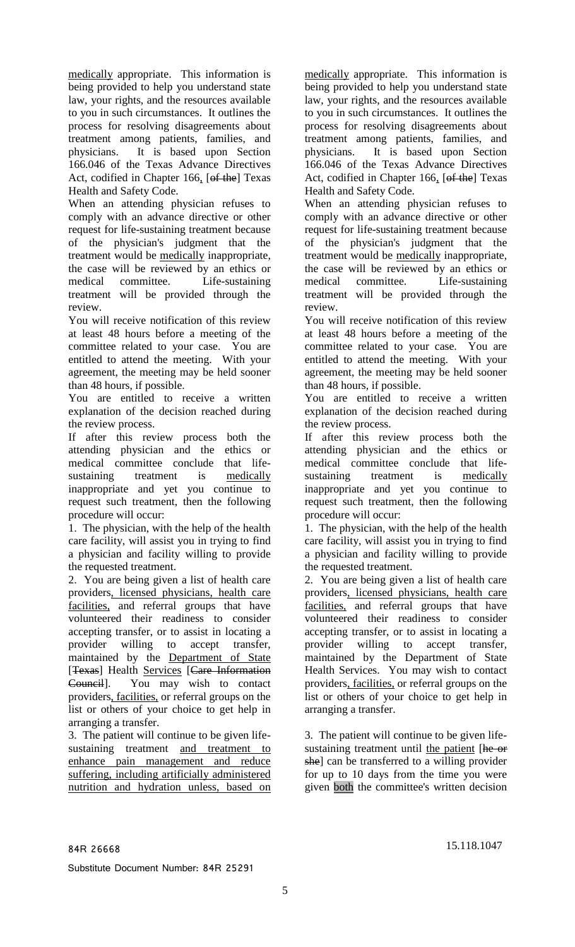medically appropriate. This information is being provided to help you understand state law, your rights, and the resources available to you in such circumstances. It outlines the process for resolving disagreements about treatment among patients, families, and physicians. It is based upon Section 166.046 of the Texas Advance Directives Act, codified in Chapter 166, [of the] Texas Health and Safety Code.

When an attending physician refuses to comply with an advance directive or other request for life-sustaining treatment because of the physician's judgment that the treatment would be medically inappropriate, the case will be reviewed by an ethics or medical committee. Life-sustaining treatment will be provided through the review.

You will receive notification of this review at least 48 hours before a meeting of the committee related to your case. You are entitled to attend the meeting. With your agreement, the meeting may be held sooner than 48 hours, if possible.

You are entitled to receive a written explanation of the decision reached during the review process.

If after this review process both the attending physician and the ethics or medical committee conclude that lifesustaining treatment is medically inappropriate and yet you continue to request such treatment, then the following procedure will occur:

1. The physician, with the help of the health care facility, will assist you in trying to find a physician and facility willing to provide the requested treatment.

2. You are being given a list of health care providers, licensed physicians, health care facilities, and referral groups that have volunteered their readiness to consider accepting transfer, or to assist in locating a provider willing to accept transfer, maintained by the Department of State [Texas] Health Services [Care Information Council]. You may wish to contact providers, facilities, or referral groups on the list or others of your choice to get help in arranging a transfer.

3. The patient will continue to be given lifesustaining treatment and treatment to enhance pain management and reduce suffering, including artificially administered nutrition and hydration unless, based on medically appropriate. This information is being provided to help you understand state law, your rights, and the resources available to you in such circumstances. It outlines the process for resolving disagreements about treatment among patients, families, and physicians. It is based upon Section 166.046 of the Texas Advance Directives Act, codified in Chapter 166, [of the] Texas Health and Safety Code.

When an attending physician refuses to comply with an advance directive or other request for life-sustaining treatment because of the physician's judgment that the treatment would be medically inappropriate, the case will be reviewed by an ethics or medical committee. Life-sustaining treatment will be provided through the review.

You will receive notification of this review at least 48 hours before a meeting of the committee related to your case. You are entitled to attend the meeting. With your agreement, the meeting may be held sooner than 48 hours, if possible.

You are entitled to receive a written explanation of the decision reached during the review process.

If after this review process both the attending physician and the ethics or medical committee conclude that lifesustaining treatment is medically inappropriate and yet you continue to request such treatment, then the following procedure will occur:

1. The physician, with the help of the health care facility, will assist you in trying to find a physician and facility willing to provide the requested treatment.

2. You are being given a list of health care providers, licensed physicians, health care facilities, and referral groups that have volunteered their readiness to consider accepting transfer, or to assist in locating a provider willing to accept transfer, maintained by the Department of State Health Services. You may wish to contact providers, facilities, or referral groups on the list or others of your choice to get help in arranging a transfer.

3. The patient will continue to be given lifesustaining treatment until the patient [he or she] can be transferred to a willing provider for up to 10 days from the time you were given both the committee's written decision

Substitute Document Number: 84R 25291

84R 26668 15.118.1047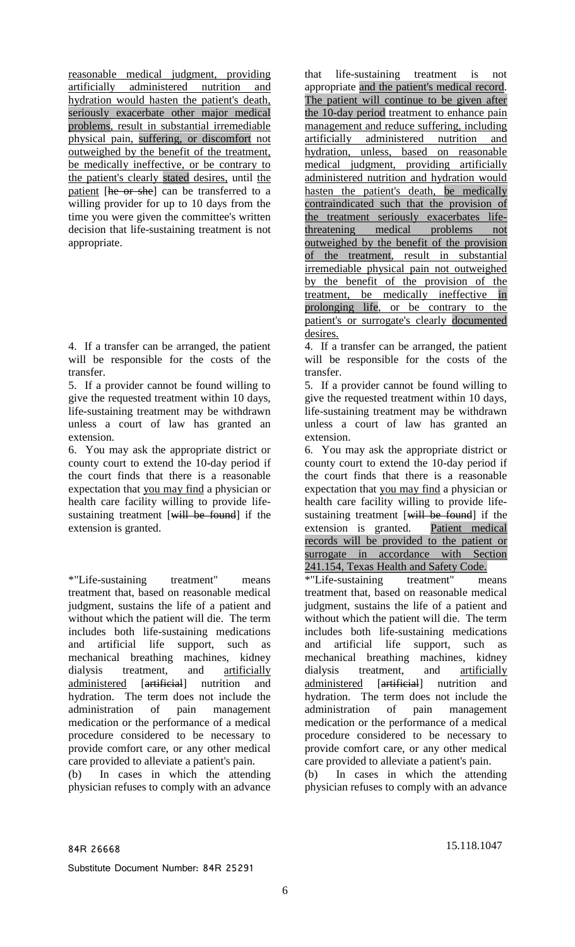reasonable medical judgment, providing artificially administered nutrition and hydration would hasten the patient's death, seriously exacerbate other major medical problems, result in substantial irremediable physical pain, suffering, or discomfort not outweighed by the benefit of the treatment, be medically ineffective, or be contrary to the patient's clearly stated desires, until the patient [he or she] can be transferred to a willing provider for up to 10 days from the time you were given the committee's written decision that life-sustaining treatment is not appropriate.

4. If a transfer can be arranged, the patient will be responsible for the costs of the transfer.

5. If a provider cannot be found willing to give the requested treatment within 10 days, life-sustaining treatment may be withdrawn unless a court of law has granted an extension.

6. You may ask the appropriate district or county court to extend the 10-day period if the court finds that there is a reasonable expectation that you may find a physician or health care facility willing to provide lifesustaining treatment [will be found] if the extension is granted.

\*"Life-sustaining treatment" means treatment that, based on reasonable medical judgment, sustains the life of a patient and without which the patient will die. The term includes both life-sustaining medications and artificial life support, such as mechanical breathing machines, kidney dialysis treatment, and artificially administered [artificial] nutrition and hydration. The term does not include the administration of pain management medication or the performance of a medical procedure considered to be necessary to provide comfort care, or any other medical care provided to alleviate a patient's pain.

(b) In cases in which the attending physician refuses to comply with an advance that life-sustaining treatment is not appropriate and the patient's medical record. The patient will continue to be given after the 10-day period treatment to enhance pain management and reduce suffering, including artificially administered nutrition and hydration, unless, based on reasonable medical judgment, providing artificially administered nutrition and hydration would hasten the patient's death, be medically contraindicated such that the provision of the treatment seriously exacerbates lifethreatening medical problems not outweighed by the benefit of the provision of the treatment, result in substantial irremediable physical pain not outweighed by the benefit of the provision of the treatment, be medically ineffective in prolonging life, or be contrary to the patient's or surrogate's clearly documented desires.

4. If a transfer can be arranged, the patient will be responsible for the costs of the transfer.

5. If a provider cannot be found willing to give the requested treatment within 10 days, life-sustaining treatment may be withdrawn unless a court of law has granted an extension.

6. You may ask the appropriate district or county court to extend the 10-day period if the court finds that there is a reasonable expectation that you may find a physician or health care facility willing to provide lifesustaining treatment [will be found] if the extension is granted. Patient medical records will be provided to the patient or surrogate in accordance with Section 241.154, Texas Health and Safety Code.

\*"Life-sustaining treatment" means treatment that, based on reasonable medical judgment, sustains the life of a patient and without which the patient will die. The term includes both life-sustaining medications and artificial life support, such as mechanical breathing machines, kidney dialysis treatment, and artificially administered [artificial] nutrition and hydration. The term does not include the administration of pain management medication or the performance of a medical procedure considered to be necessary to provide comfort care, or any other medical care provided to alleviate a patient's pain.

(b) In cases in which the attending physician refuses to comply with an advance

84R 26668 15.118.1047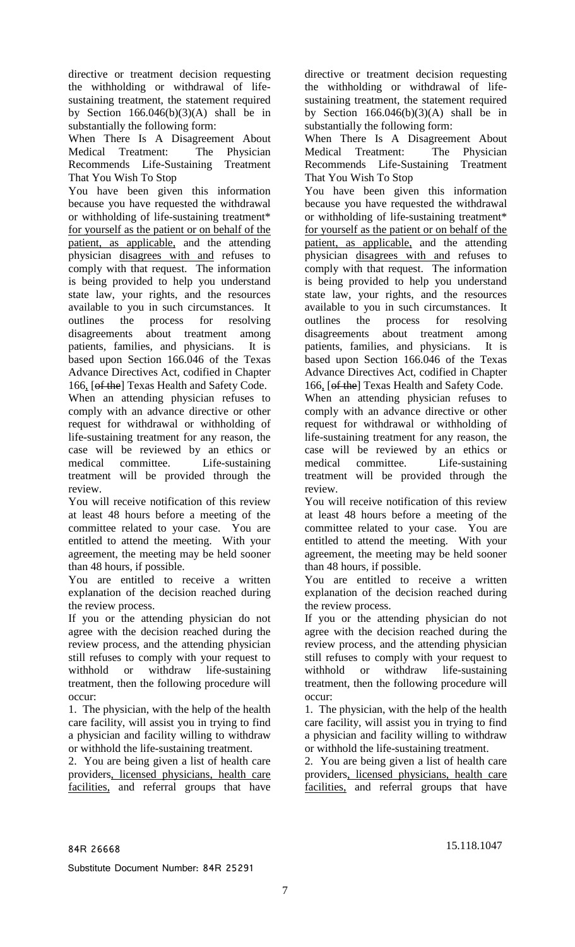directive or treatment decision requesting the withholding or withdrawal of lifesustaining treatment, the statement required by Section  $166.046(b)(3)(A)$  shall be in substantially the following form:

When There Is A Disagreement About Medical Treatment: The Physician Recommends Life-Sustaining Treatment That You Wish To Stop

You have been given this information because you have requested the withdrawal or withholding of life-sustaining treatment\* for yourself as the patient or on behalf of the patient, as applicable, and the attending physician disagrees with and refuses to comply with that request. The information is being provided to help you understand state law, your rights, and the resources available to you in such circumstances. It outlines the process for resolving disagreements about treatment among patients, families, and physicians. It is based upon Section 166.046 of the Texas Advance Directives Act, codified in Chapter 166, [of the] Texas Health and Safety Code.

When an attending physician refuses to comply with an advance directive or other request for withdrawal or withholding of life-sustaining treatment for any reason, the case will be reviewed by an ethics or medical committee. Life-sustaining treatment will be provided through the review.

You will receive notification of this review at least 48 hours before a meeting of the committee related to your case. You are entitled to attend the meeting. With your agreement, the meeting may be held sooner than 48 hours, if possible.

You are entitled to receive a written explanation of the decision reached during the review process.

If you or the attending physician do not agree with the decision reached during the review process, and the attending physician still refuses to comply with your request to withhold or withdraw life-sustaining treatment, then the following procedure will occur:

1. The physician, with the help of the health care facility, will assist you in trying to find a physician and facility willing to withdraw or withhold the life-sustaining treatment.

2. You are being given a list of health care providers, licensed physicians, health care facilities, and referral groups that have

directive or treatment decision requesting the withholding or withdrawal of lifesustaining treatment, the statement required by Section  $166.046(b)(3)(A)$  shall be in substantially the following form:

When There Is A Disagreement About Medical Treatment: The Physician Recommends Life-Sustaining Treatment That You Wish To Stop

You have been given this information because you have requested the withdrawal or withholding of life-sustaining treatment\* for yourself as the patient or on behalf of the patient, as applicable, and the attending physician disagrees with and refuses to comply with that request. The information is being provided to help you understand state law, your rights, and the resources available to you in such circumstances. It outlines the process for resolving disagreements about treatment among patients, families, and physicians. It is based upon Section 166.046 of the Texas Advance Directives Act, codified in Chapter 166, [of the] Texas Health and Safety Code.

When an attending physician refuses to comply with an advance directive or other request for withdrawal or withholding of life-sustaining treatment for any reason, the case will be reviewed by an ethics or medical committee. Life-sustaining treatment will be provided through the review.

You will receive notification of this review at least 48 hours before a meeting of the committee related to your case. You are entitled to attend the meeting. With your agreement, the meeting may be held sooner than 48 hours, if possible.

You are entitled to receive a written explanation of the decision reached during the review process.

If you or the attending physician do not agree with the decision reached during the review process, and the attending physician still refuses to comply with your request to withhold or withdraw life-sustaining treatment, then the following procedure will occur:

1. The physician, with the help of the health care facility, will assist you in trying to find a physician and facility willing to withdraw or withhold the life-sustaining treatment.

2. You are being given a list of health care providers, licensed physicians, health care facilities, and referral groups that have